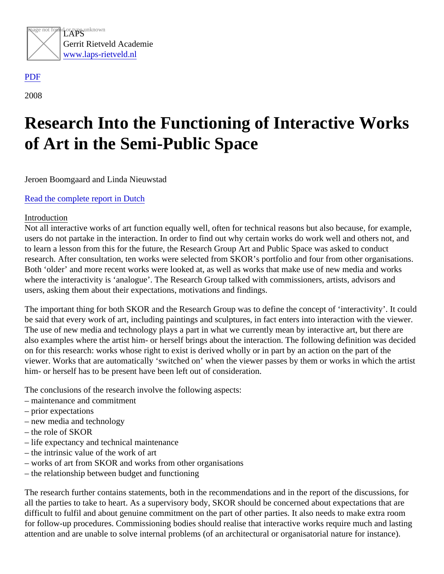

## [PDF](/web/sites/laps-rietveld.nl/www/wp-content/plugins/press-to-pdf/../../../wp-content/plugins/press-to-pdf/)

2008

## Research Into the Functioning of Interactive Works of Art in the Semi-Public Space

Jeroen Boomgaard and Linda Nieuwstad

## [Read the complete report in Du](https://laps-rietveld.nl/wordpress/wp-content/uploads/2011/05/LKPRrapportDEF.pdf)tch

## Introduction

Not all interactive works of art function equally well, often for technical reasons but also because, for example, users do not partake in the interaction. In order to find out why certain works do work well and others not, and to learn a lesson from this for the future, the Research Group Art and Public Space was asked to conduct research. After consultation, ten works were selected from SKOR's portfolio and four from other organisations. Both 'older' and more recent works were looked at, as well as works that make use of new media and works where the interactivity is 'analogue'. The Research Group talked with commissioners, artists, advisors and users, asking them about their expectations, motivations and findings.

The important thing for both SKOR and the Research Group was to define the concept of 'interactivity'. It cou be said that every work of art, including paintings and sculptures, in fact enters into interaction with the viewer. The use of new media and technology plays a part in what we currently mean by interactive art, but there are also examples where the artist him- or herself brings about the interaction. The following definition was decide on for this research: works whose right to exist is derived wholly or in part by an action on the part of the viewer. Works that are automatically 'switched on' when the viewer passes by them or works in which the arti him- or herself has to be present have been left out of consideration.

The conclusions of the research involve the following aspects:

- maintenance and commitment
- prior expectations
- new media and technology
- the role of SKOR
- life expectancy and technical maintenance
- the intrinsic value of the work of art
- works of art from SKOR and works from other organisations
- the relationship between budget and functioning

The research further contains statements, both in the recommendations and in the report of the discussions, for all the parties to take to heart. As a supervisory body, SKOR should be concerned about expectations that are difficult to fulfil and about genuine commitment on the part of other parties. It also needs to make extra room for follow-up procedures. Commissioning bodies should realise that interactive works require much and lastin attention and are unable to solve internal problems (of an architectural or organisatorial nature for instance).